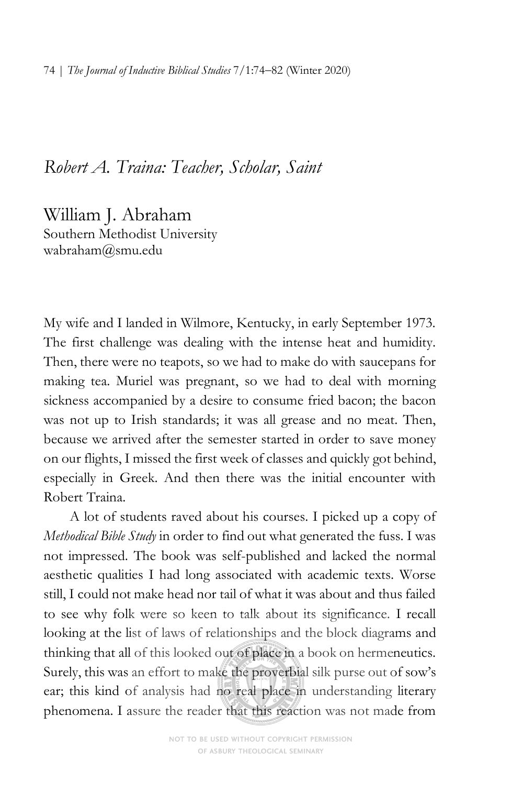## *Robert A. Traina: Teacher, Scholar, Saint*

William J. Abraham Southern Methodist University wabraham@smu.edu

My wife and I landed in Wilmore, Kentucky, in early September 1973. The first challenge was dealing with the intense heat and humidity. Then, there were no teapots, so we had to make do with saucepans for making tea. Muriel was pregnant, so we had to deal with morning sickness accompanied by a desire to consume fried bacon; the bacon was not up to Irish standards; it was all grease and no meat. Then, because we arrived after the semester started in order to save money on our flights, I missed the first week of classes and quickly got behind, especially in Greek. And then there was the initial encounter with Robert Traina.

A lot of students raved about his courses. I picked up a copy of *Methodical Bible Study* in order to find out what generated the fuss. I was not impressed. The book was self-published and lacked the normal aesthetic qualities I had long associated with academic texts. Worse still, I could not make head nor tail of what it was about and thus failed to see why folk were so keen to talk about its significance. I recall looking at the list of laws of relationships and the block diagrams and thinking that all of this looked out of place in a book on hermeneutics. Surely, this was an effort to make the proverbial silk purse out of sow's ear; this kind of analysis had no real place in understanding literary phenomena. I assure the reader that this reaction was not made from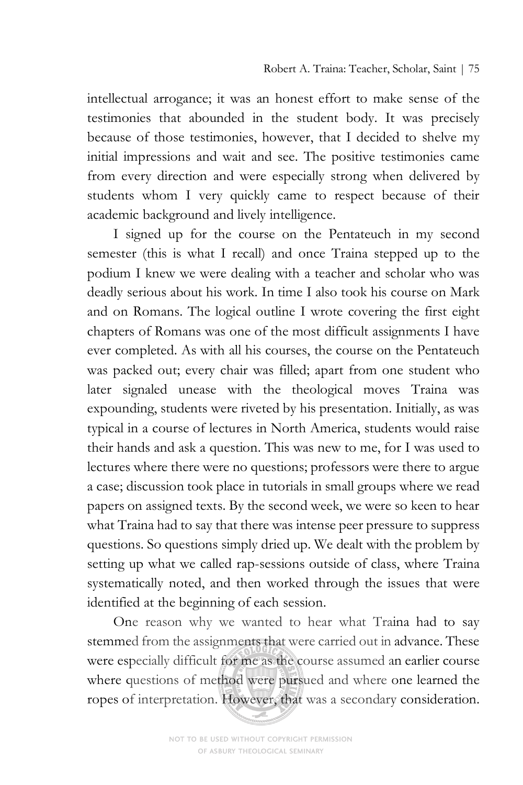intellectual arrogance; it was an honest effort to make sense of the testimonies that abounded in the student body. It was precisely because of those testimonies, however, that I decided to shelve my initial impressions and wait and see. The positive testimonies came from every direction and were especially strong when delivered by students whom I very quickly came to respect because of their academic background and lively intelligence.

I signed up for the course on the Pentateuch in my second semester (this is what I recall) and once Traina stepped up to the podium I knew we were dealing with a teacher and scholar who was deadly serious about his work. In time I also took his course on Mark and on Romans. The logical outline I wrote covering the first eight chapters of Romans was one of the most difficult assignments I have ever completed. As with all his courses, the course on the Pentateuch was packed out; every chair was filled; apart from one student who later signaled unease with the theological moves Traina was expounding, students were riveted by his presentation. Initially, as was typical in a course of lectures in North America, students would raise their hands and ask a question. This was new to me, for I was used to lectures where there were no questions; professors were there to argue a case; discussion took place in tutorials in small groups where we read papers on assigned texts. By the second week, we were so keen to hear what Traina had to say that there was intense peer pressure to suppress questions. So questions simply dried up. We dealt with the problem by setting up what we called rap-sessions outside of class, where Traina systematically noted, and then worked through the issues that were identified at the beginning of each session.

One reason why we wanted to hear what Traina had to say stemmed from the assignments that were carried out in advance. These were especially difficult for me as the course assumed an earlier course where questions of method were pursued and where one learned the ropes of interpretation. However, that was a secondary consideration.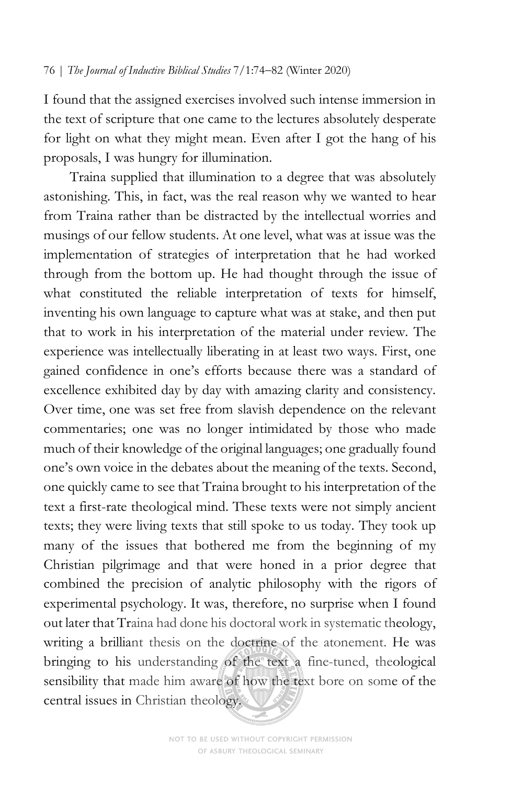I found that the assigned exercises involved such intense immersion in the text of scripture that one came to the lectures absolutely desperate for light on what they might mean. Even after I got the hang of his proposals, I was hungry for illumination.

Traina supplied that illumination to a degree that was absolutely astonishing. This, in fact, was the real reason why we wanted to hear from Traina rather than be distracted by the intellectual worries and musings of our fellow students. At one level, what was at issue was the implementation of strategies of interpretation that he had worked through from the bottom up. He had thought through the issue of what constituted the reliable interpretation of texts for himself, inventing his own language to capture what was at stake, and then put that to work in his interpretation of the material under review. The experience was intellectually liberating in at least two ways. First, one gained confidence in one's efforts because there was a standard of excellence exhibited day by day with amazing clarity and consistency. Over time, one was set free from slavish dependence on the relevant commentaries; one was no longer intimidated by those who made much of their knowledge of the original languages; one gradually found one's own voice in the debates about the meaning of the texts. Second, one quickly came to see that Traina brought to his interpretation of the text a first-rate theological mind. These texts were not simply ancient texts; they were living texts that still spoke to us today. They took up many of the issues that bothered me from the beginning of my Christian pilgrimage and that were honed in a prior degree that combined the precision of analytic philosophy with the rigors of experimental psychology. It was, therefore, no surprise when I found out later that Traina had done his doctoral work in systematic theology, writing a brilliant thesis on the doctrine of the atonement. He was bringing to his understanding of the text a fine-tuned, theological sensibility that made him aware of how the text bore on some of the central issues in Christian theology.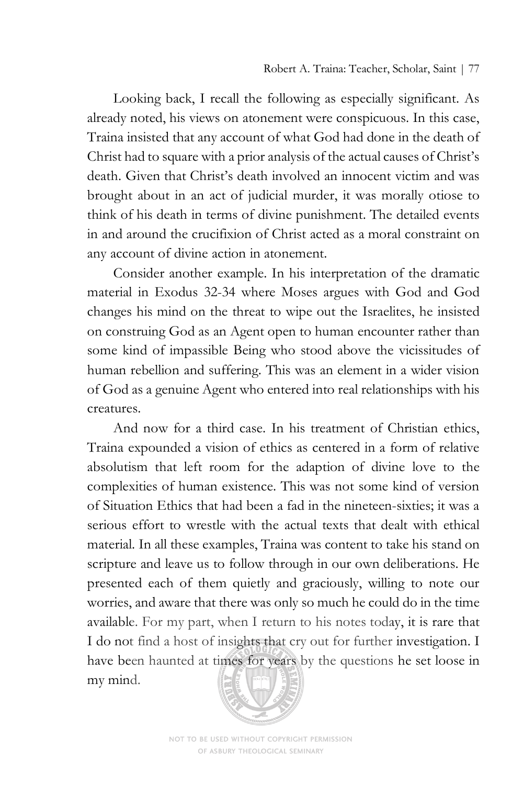Looking back, I recall the following as especially significant. As already noted, his views on atonement were conspicuous. In this case, Traina insisted that any account of what God had done in the death of Christ had to square with a prior analysis of the actual causes of Christ's death. Given that Christ's death involved an innocent victim and was brought about in an act of judicial murder, it was morally otiose to think of his death in terms of divine punishment. The detailed events in and around the crucifixion of Christ acted as a moral constraint on any account of divine action in atonement.

Consider another example. In his interpretation of the dramatic material in Exodus 32-34 where Moses argues with God and God changes his mind on the threat to wipe out the Israelites, he insisted on construing God as an Agent open to human encounter rather than some kind of impassible Being who stood above the vicissitudes of human rebellion and suffering. This was an element in a wider vision of God as a genuine Agent who entered into real relationships with his creatures.

And now for a third case. In his treatment of Christian ethics, Traina expounded a vision of ethics as centered in a form of relative absolutism that left room for the adaption of divine love to the complexities of human existence. This was not some kind of version of Situation Ethics that had been a fad in the nineteen-sixties; it was a serious effort to wrestle with the actual texts that dealt with ethical material. In all these examples, Traina was content to take his stand on scripture and leave us to follow through in our own deliberations. He presented each of them quietly and graciously, willing to note our worries, and aware that there was only so much he could do in the time available. For my part, when I return to his notes today, it is rare that I do not find a host of insights that cry out for further investigation. I have been haunted at times for years by the questions he set loose in my mind.



NOT TO BE USED WITHOUT COPYRIGHT PERMISSION OF ASBURY THEOLOGICAL SEMINARY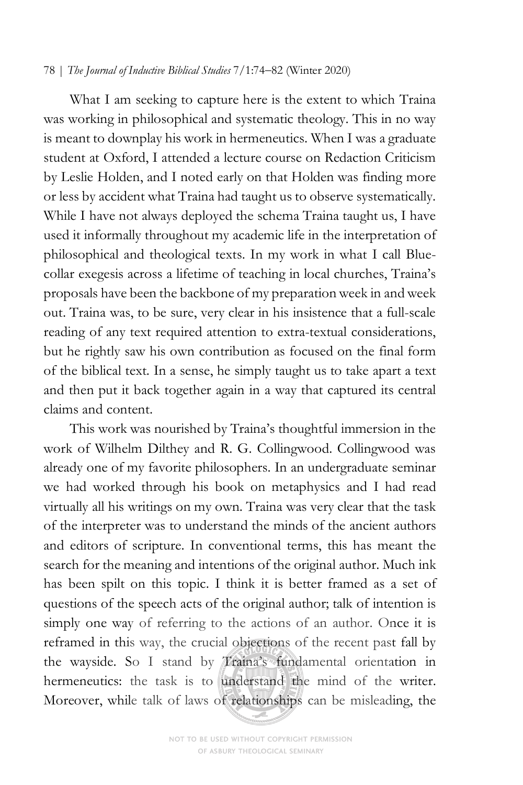## 78 | *The Journal of Inductive Biblical Studies* 7/1:74-82 (Winter 2020)

What I am seeking to capture here is the extent to which Traina was working in philosophical and systematic theology. This in no way is meant to downplay his work in hermeneutics. When I was a graduate student at Oxford, I attended a lecture course on Redaction Criticism by Leslie Holden, and I noted early on that Holden was finding more or less by accident what Traina had taught us to observe systematically. While I have not always deployed the schema Traina taught us, I have used it informally throughout my academic life in the interpretation of philosophical and theological texts. In my work in what I call Bluecollar exegesis across a lifetime of teaching in local churches, Traina's proposals have been the backbone of my preparation week in and week out. Traina was, to be sure, very clear in his insistence that a full-scale reading of any text required attention to extra-textual considerations, but he rightly saw his own contribution as focused on the final form of the biblical text. In a sense, he simply taught us to take apart a text and then put it back together again in a way that captured its central claims and content.

This work was nourished by Traina's thoughtful immersion in the work of Wilhelm Dilthey and R. G. Collingwood. Collingwood was already one of my favorite philosophers. In an undergraduate seminar we had worked through his book on metaphysics and I had read virtually all his writings on my own. Traina was very clear that the task of the interpreter was to understand the minds of the ancient authors and editors of scripture. In conventional terms, this has meant the search for the meaning and intentions of the original author. Much ink has been spilt on this topic. I think it is better framed as a set of questions of the speech acts of the original author; talk of intention is simply one way of referring to the actions of an author. Once it is reframed in this way, the crucial objections of the recent past fall by the wayside. So I stand by Traina's fundamental orientation in hermeneutics: the task is to understand the mind of the writer. Moreover, while talk of laws of relationships can be misleading, the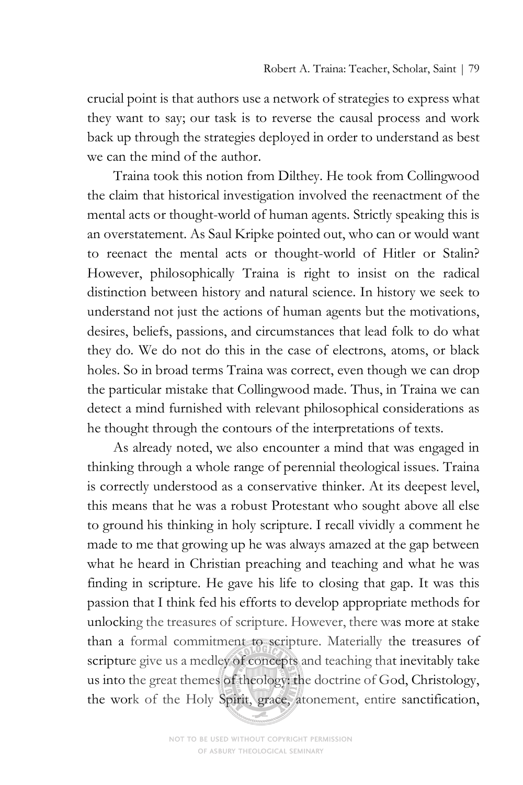crucial point is that authors use a network of strategies to express what they want to say; our task is to reverse the causal process and work back up through the strategies deployed in order to understand as best we can the mind of the author.

Traina took this notion from Dilthey. He took from Collingwood the claim that historical investigation involved the reenactment of the mental acts or thought-world of human agents. Strictly speaking this is an overstatement. As Saul Kripke pointed out, who can or would want to reenact the mental acts or thought-world of Hitler or Stalin? However, philosophically Traina is right to insist on the radical distinction between history and natural science. In history we seek to understand not just the actions of human agents but the motivations, desires, beliefs, passions, and circumstances that lead folk to do what they do. We do not do this in the case of electrons, atoms, or black holes. So in broad terms Traina was correct, even though we can drop the particular mistake that Collingwood made. Thus, in Traina we can detect a mind furnished with relevant philosophical considerations as he thought through the contours of the interpretations of texts.

As already noted, we also encounter a mind that was engaged in thinking through a whole range of perennial theological issues. Traina is correctly understood as a conservative thinker. At its deepest level, this means that he was a robust Protestant who sought above all else to ground his thinking in holy scripture. I recall vividly a comment he made to me that growing up he was always amazed at the gap between what he heard in Christian preaching and teaching and what he was finding in scripture. He gave his life to closing that gap. It was this passion that I think fed his efforts to develop appropriate methods for unlocking the treasures of scripture. However, there was more at stake than a formal commitment to scripture. Materially the treasures of scripture give us a medley of concepts and teaching that inevitably take us into the great themes of theology: the doctrine of God, Christology, the work of the Holy Spirit, grace, atonement, entire sanctification,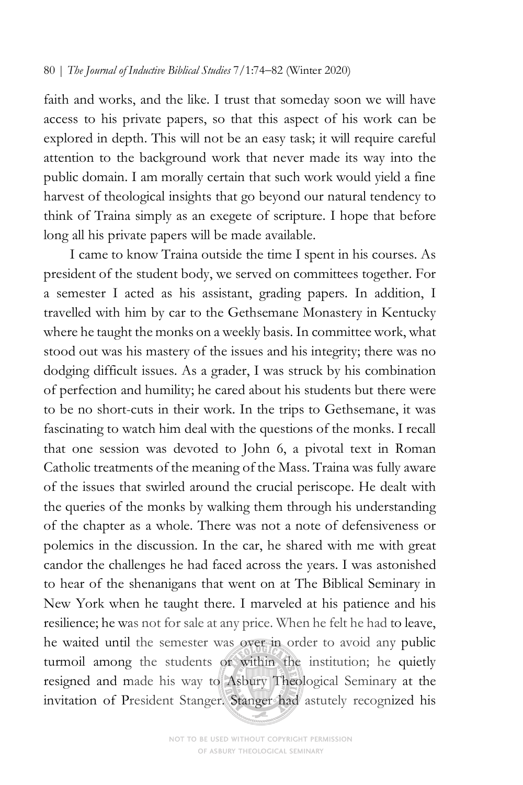## 80 | *The Journal of Inductive Biblical Studies* 7/1:74-82 (Winter 2020)

faith and works, and the like. I trust that someday soon we will have access to his private papers, so that this aspect of his work can be explored in depth. This will not be an easy task; it will require careful attention to the background work that never made its way into the public domain. I am morally certain that such work would yield a fine harvest of theological insights that go beyond our natural tendency to think of Traina simply as an exegete of scripture. I hope that before long all his private papers will be made available.

I came to know Traina outside the time I spent in his courses. As president of the student body, we served on committees together. For a semester I acted as his assistant, grading papers. In addition, I travelled with him by car to the Gethsemane Monastery in Kentucky where he taught the monks on a weekly basis. In committee work, what stood out was his mastery of the issues and his integrity; there was no dodging difficult issues. As a grader, I was struck by his combination of perfection and humility; he cared about his students but there were to be no short-cuts in their work. In the trips to Gethsemane, it was fascinating to watch him deal with the questions of the monks. I recall that one session was devoted to John 6, a pivotal text in Roman Catholic treatments of the meaning of the Mass. Traina was fully aware of the issues that swirled around the crucial periscope. He dealt with the queries of the monks by walking them through his understanding of the chapter as a whole. There was not a note of defensiveness or polemics in the discussion. In the car, he shared with me with great candor the challenges he had faced across the years. I was astonished to hear of the shenanigans that went on at The Biblical Seminary in New York when he taught there. I marveled at his patience and his resilience; he was not for sale at any price. When he felt he had to leave, he waited until the semester was over in order to avoid any public turmoil among the students or within the institution; he quietly resigned and made his way to Asbury Theological Seminary at the invitation of President Stanger. Stanger had astutely recognized his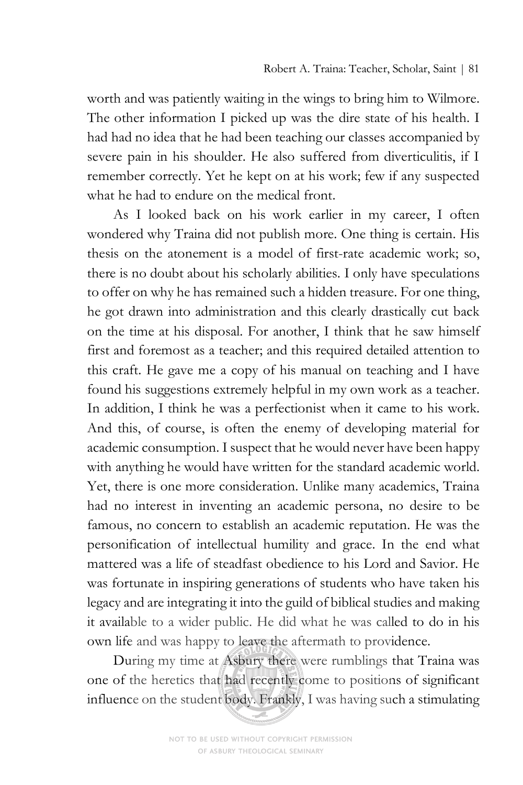worth and was patiently waiting in the wings to bring him to Wilmore. The other information I picked up was the dire state of his health. I had had no idea that he had been teaching our classes accompanied by severe pain in his shoulder. He also suffered from diverticulitis, if I remember correctly. Yet he kept on at his work; few if any suspected what he had to endure on the medical front.

As I looked back on his work earlier in my career, I often wondered why Traina did not publish more. One thing is certain. His thesis on the atonement is a model of first-rate academic work; so, there is no doubt about his scholarly abilities. I only have speculations to offer on why he has remained such a hidden treasure. For one thing, he got drawn into administration and this clearly drastically cut back on the time at his disposal. For another, I think that he saw himself first and foremost as a teacher; and this required detailed attention to this craft. He gave me a copy of his manual on teaching and I have found his suggestions extremely helpful in my own work as a teacher. In addition, I think he was a perfectionist when it came to his work. And this, of course, is often the enemy of developing material for academic consumption. I suspect that he would never have been happy with anything he would have written for the standard academic world. Yet, there is one more consideration. Unlike many academics, Traina had no interest in inventing an academic persona, no desire to be famous, no concern to establish an academic reputation. He was the personification of intellectual humility and grace. In the end what mattered was a life of steadfast obedience to his Lord and Savior. He was fortunate in inspiring generations of students who have taken his legacy and are integrating it into the guild of biblical studies and making it available to a wider public. He did what he was called to do in his own life and was happy to leave the aftermath to providence.

During my time at Asbury there were rumblings that Traina was one of the heretics that had recently come to positions of significant influence on the student body. Frankly, I was having such a stimulating